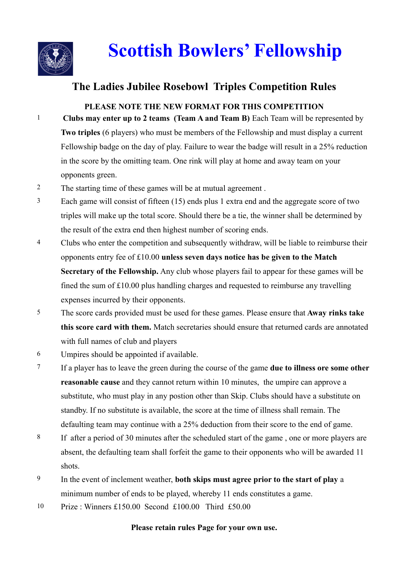

# **Scottish Bowlers' Fellowship**

## **The Ladies Jubilee Rosebowl Triples Competition Rules**

#### **PLEASE NOTE THE NEW FORMAT FOR THIS COMPETITION**

- 1 **Clubs may enter up to 2 teams (Team A and Team B)** Each Team will be represented by **Two triples** (6 players) who must be members of the Fellowship and must display a current Fellowship badge on the day of play. Failure to wear the badge will result in a 25% reduction in the score by the omitting team. One rink will play at home and away team on your opponents green.
- 2 The starting time of these games will be at mutual agreement .
- 3 Each game will consist of fifteen (15) ends plus 1 extra end and the aggregate score of two triples will make up the total score. Should there be a tie, the winner shall be determined by the result of the extra end then highest number of scoring ends.
- <sup>4</sup> Clubs who enter the competition and subsequently withdraw, will be liable to reimburse their opponents entry fee of £10.00 **unless seven days notice has be given to the Match Secretary of the Fellowship.** Any club whose players fail to appear for these games will be fined the sum of £10.00 plus handling charges and requested to reimburse any travelling expenses incurred by their opponents.
- 5 The score cards provided must be used for these games. Please ensure that **Away rinks take this score card with them.** Match secretaries should ensure that returned cards are annotated with full names of club and players
- 6 Umpires should be appointed if available.
- 7 If a player has to leave the green during the course of the game **due to illness ore some other reasonable cause** and they cannot return within 10 minutes, the umpire can approve a substitute, who must play in any postion other than Skip. Clubs should have a substitute on standby. If no substitute is available, the score at the time of illness shall remain. The defaulting team may continue with a 25% deduction from their score to the end of game.
- 8 If after a period of 30 minutes after the scheduled start of the game , one or more players are absent, the defaulting team shall forfeit the game to their opponents who will be awarded 11 shots.
- 9 In the event of inclement weather, **both skips must agree prior to the start of play** a minimum number of ends to be played, whereby 11 ends constitutes a game.
- 10 Prize : Winners £150.00 Second £100.00 Third £50.00

#### **Please retain rules Page for your own use.**